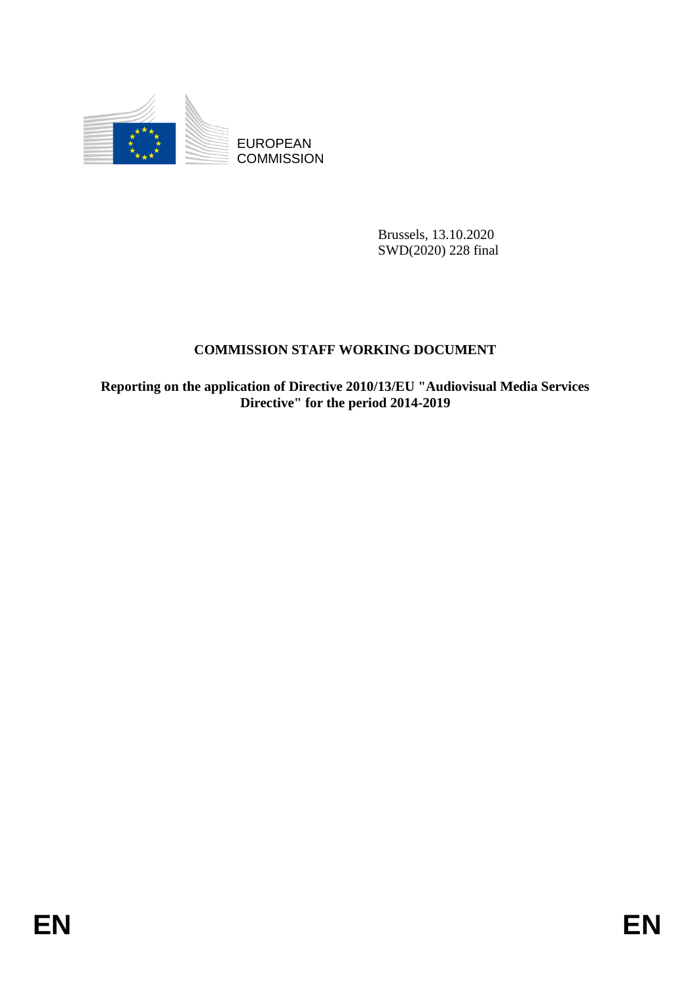

**COMMISSION** 

Brussels, 13.10.2020 SWD(2020) 228 final

# **COMMISSION STAFF WORKING DOCUMENT**

EUROPEAN<br>
EUROPEAN<br>
ENGANGESION<br>
ENGANGESION<br>
SUPORAGESION<br>
ENGANGESION<br>
ENGANGESION<br>
ENGANGESION<br>
EP<br> **ENGANGESION STAFF WORKLYG DOCUMENT**<br>
Reporting on the application of Directive<sup>6</sup> for the period 2014-2019<br>
Directive<sup></sup> **Reporting on the application of Directive 2010/13/EU "Audiovisual Media Services Directive" for the period 2014-2019**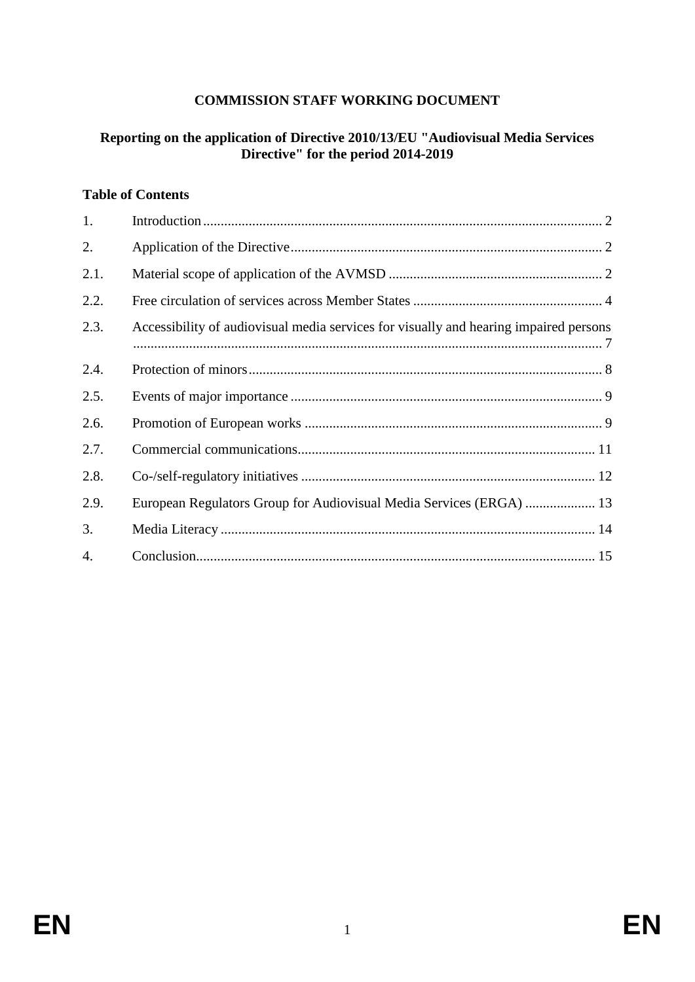#### **COMMISSION STAFF WORKING DOCUMENT**

#### **Reporting on the application of Directive 2010/13/EU "Audiovisual Media Services Directive" for the period 2014-2019**

#### **Table of Contents**

| 1.   |                                                                                       |
|------|---------------------------------------------------------------------------------------|
| 2.   |                                                                                       |
| 2.1. |                                                                                       |
| 2.2. |                                                                                       |
| 2.3. | Accessibility of audiovisual media services for visually and hearing impaired persons |
| 2.4. |                                                                                       |
| 2.5. |                                                                                       |
| 2.6. |                                                                                       |
| 2.7. |                                                                                       |
| 2.8. |                                                                                       |
| 2.9. | European Regulators Group for Audiovisual Media Services (ERGA)  13                   |
| 3.   |                                                                                       |
| 4.   |                                                                                       |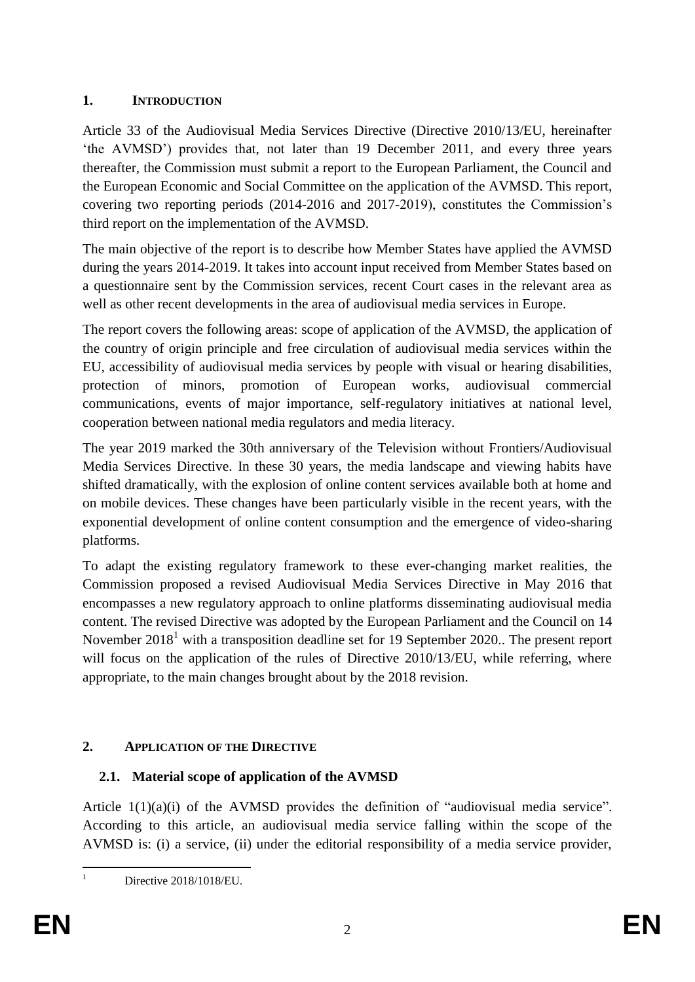# **1. INTRODUCTION**

Article 33 of the Audiovisual Media Services Directive (Directive 2010/13/EU, hereinafter 'the AVMSD') provides that, not later than 19 December 2011, and every three years thereafter, the Commission must submit a report to the European Parliament, the Council and the European Economic and Social Committee on the application of the AVMSD. This report, covering two reporting periods (2014-2016 and 2017-2019), constitutes the Commission's third report on the implementation of the AVMSD.

The main objective of the report is to describe how Member States have applied the AVMSD during the years 2014-2019. It takes into account input received from Member States based on a questionnaire sent by the Commission services, recent Court cases in the relevant area as well as other recent developments in the area of audiovisual media services in Europe.

The report covers the following areas: scope of application of the AVMSD, the application of the country of origin principle and free circulation of audiovisual media services within the EU, accessibility of audiovisual media services by people with visual or hearing disabilities, protection of minors, promotion of European works, audiovisual commercial communications, events of major importance, self-regulatory initiatives at national level, cooperation between national media regulators and media literacy.

The year 2019 marked the 30th anniversary of the Television without Frontiers/Audiovisual Media Services Directive. In these 30 years, the media landscape and viewing habits have shifted dramatically, with the explosion of online content services available both at home and on mobile devices. These changes have been particularly visible in the recent years, with the exponential development of online content consumption and the emergence of video-sharing platforms.

To adapt the existing regulatory framework to these ever-changing market realities, the Commission proposed a revised Audiovisual Media Services Directive in May 2016 that encompasses a new regulatory approach to online platforms disseminating audiovisual media content. The revised Directive was adopted by the European Parliament and the Council on 14 November 2018<sup>1</sup> with a transposition deadline set for 19 September 2020. The present report will focus on the application of the rules of Directive 2010/13/EU, while referring, where appropriate, to the main changes brought about by the 2018 revision.

# **2. APPLICATION OF THE DIRECTIVE**

# **2.1. Material scope of application of the AVMSD**

Article 1(1)(a)(i) of the AVMSD provides the definition of "audiovisual media service". According to this article, an audiovisual media service falling within the scope of the AVMSD is: (i) a service, (ii) under the editorial responsibility of a media service provider,

 $\mathbf{1}$ 

Directive 2018/1018/EU.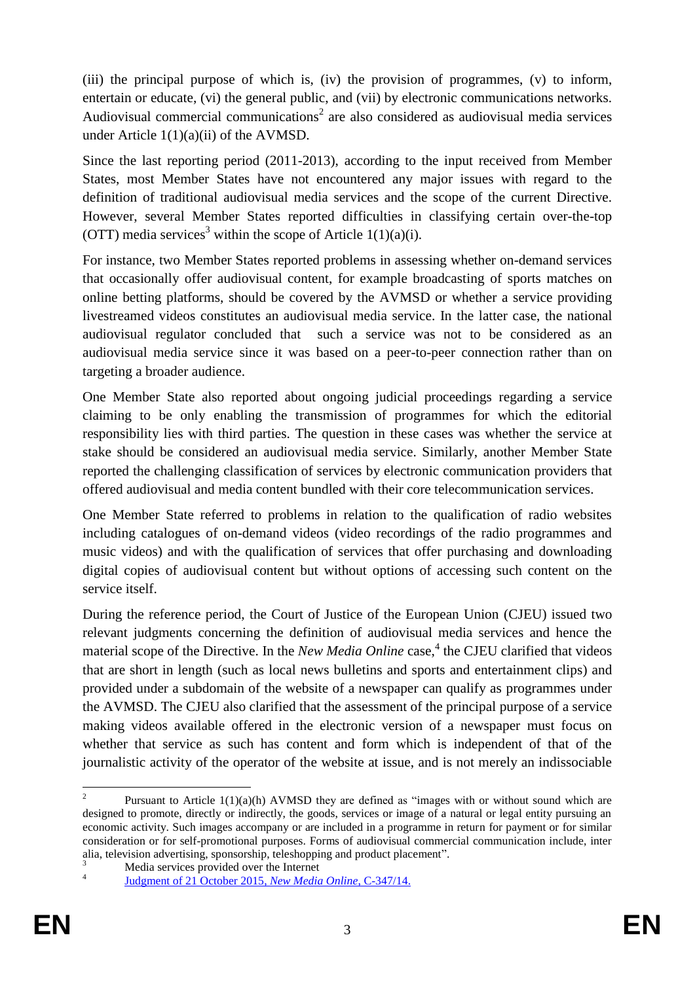(iii) the principal purpose of which is, (iv) the provision of programmes, (v) to inform, entertain or educate, (vi) the general public, and (vii) by electronic communications networks. Audiovisual commercial communications<sup>2</sup> are also considered as audiovisual media services under Article 1(1)(a)(ii) of the AVMSD.

Since the last reporting period (2011-2013), according to the input received from Member States, most Member States have not encountered any major issues with regard to the definition of traditional audiovisual media services and the scope of the current Directive. However, several Member States reported difficulties in classifying certain over-the-top (OTT) media services<sup>3</sup> within the scope of Article  $1(1)(a)(i)$ .

For instance, two Member States reported problems in assessing whether on-demand services that occasionally offer audiovisual content, for example broadcasting of sports matches on online betting platforms, should be covered by the AVMSD or whether a service providing livestreamed videos constitutes an audiovisual media service. In the latter case, the national audiovisual regulator concluded that such a service was not to be considered as an audiovisual media service since it was based on a peer-to-peer connection rather than on targeting a broader audience.

One Member State also reported about ongoing judicial proceedings regarding a service claiming to be only enabling the transmission of programmes for which the editorial responsibility lies with third parties. The question in these cases was whether the service at stake should be considered an audiovisual media service. Similarly, another Member State reported the challenging classification of services by electronic communication providers that offered audiovisual and media content bundled with their core telecommunication services.

One Member State referred to problems in relation to the qualification of radio websites including catalogues of on-demand videos (video recordings of the radio programmes and music videos) and with the qualification of services that offer purchasing and downloading digital copies of audiovisual content but without options of accessing such content on the service itself.

During the reference period, the Court of Justice of the European Union (CJEU) issued two relevant judgments concerning the definition of audiovisual media services and hence the material scope of the Directive. In the *New Media Online* case, 4 the CJEU clarified that videos that are short in length (such as local news bulletins and sports and entertainment clips) and provided under a subdomain of the website of a newspaper can qualify as programmes under the AVMSD. The CJEU also clarified that the assessment of the principal purpose of a service making videos available offered in the electronic version of a newspaper must focus on whether that service as such has content and form which is independent of that of the journalistic activity of the operator of the website at issue, and is not merely an indissociable

 $\frac{1}{2}$ Pursuant to Article  $1(1)(a)(h)$  AVMSD they are defined as "images with or without sound which are designed to promote, directly or indirectly, the goods, services or image of a natural or legal entity pursuing an economic activity. Such images accompany or are included in a programme in return for payment or for similar consideration or for self-promotional purposes. Forms of audiovisual commercial communication include, inter alia, television advertising, sponsorship, teleshopping and product placement".

Media services provided over the Internet 4

Judgment of 21 October 2015, *New Media Online*, C-347/14.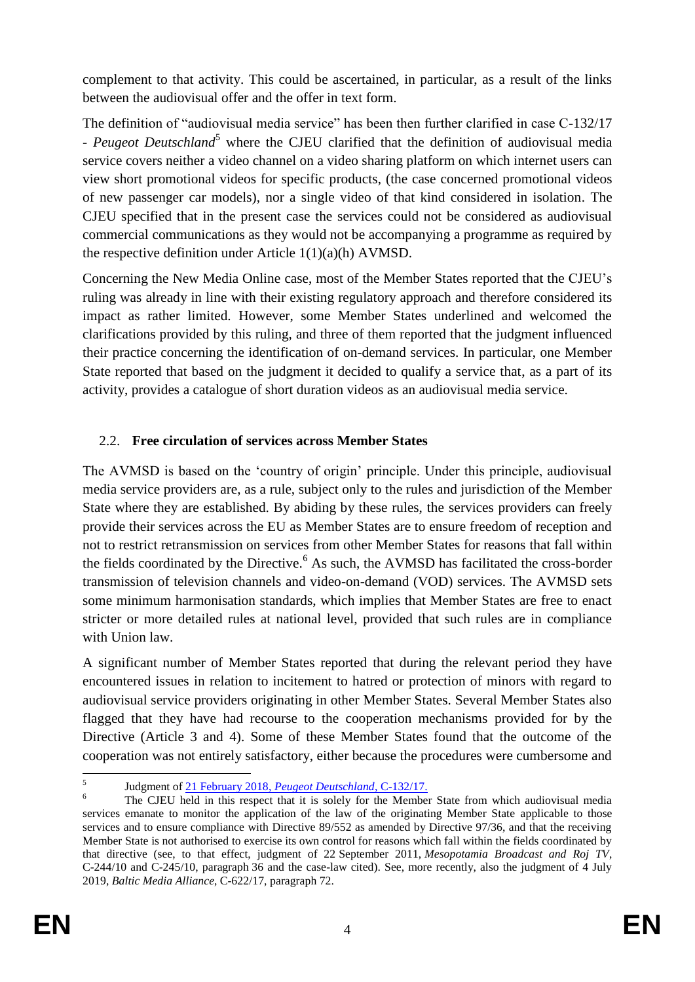complement to that activity. This could be ascertained, in particular, as a result of the links between the audiovisual offer and the offer in text form.

The definition of "audiovisual media service" has been then further clarified in case C-132/17 - *Peugeot Deutschland*<sup>5</sup> where the CJEU clarified that the definition of audiovisual media service covers neither a video channel on a video sharing platform on which internet users can view short promotional videos for specific products, (the case concerned promotional videos of new passenger car models), nor a single video of that kind considered in isolation. The CJEU specified that in the present case the services could not be considered as audiovisual commercial communications as they would not be accompanying a programme as required by the respective definition under Article 1(1)(a)(h) AVMSD.

Concerning the New Media Online case, most of the Member States reported that the CJEU's ruling was already in line with their existing regulatory approach and therefore considered its impact as rather limited. However, some Member States underlined and welcomed the clarifications provided by this ruling, and three of them reported that the judgment influenced their practice concerning the identification of on-demand services. In particular, one Member State reported that based on the judgment it decided to qualify a service that, as a part of its activity, provides a catalogue of short duration videos as an audiovisual media service.

#### 2.2. **Free circulation of services across Member States**

The AVMSD is based on the 'country of origin' principle. Under this principle, audiovisual media service providers are, as a rule, subject only to the rules and jurisdiction of the Member State where they are established. By abiding by these rules, the services providers can freely provide their services across the EU as Member States are to ensure freedom of reception and not to restrict retransmission on services from other Member States for reasons that fall within the fields coordinated by the Directive.<sup>6</sup> As such, the AVMSD has facilitated the cross-border transmission of television channels and video-on-demand (VOD) services. The AVMSD sets some minimum harmonisation standards, which implies that Member States are free to enact stricter or more detailed rules at national level, provided that such rules are in compliance with Union law.

A significant number of Member States reported that during the relevant period they have encountered issues in relation to incitement to hatred or protection of minors with regard to audiovisual service providers originating in other Member States. Several Member States also flagged that they have had recourse to the cooperation mechanisms provided for by the Directive (Article 3 and 4). Some of these Member States found that the outcome of the cooperation was not entirely satisfactory, either because the procedures were cumbersome and

 $\frac{1}{5}$ Judgment of 21 February 2018, *Peugeot Deutschland*, C-132/17.

<sup>&</sup>lt;sup>6</sup> The CJEU held in this respect that it is solely for the Member State from which audiovisual media services emanate to monitor the application of the law of the originating Member State applicable to those services and to ensure compliance with Directive 89/552 as amended by Directive 97/36, and that the receiving Member State is not authorised to exercise its own control for reasons which fall within the fields coordinated by that directive (see, to that effect, judgment of 22 September 2011, *Mesopotamia Broadcast and Roj TV*, C-244/10 and C-245/10, paragraph 36 and the case-law cited). See, more recently, also the judgment of 4 July 2019, *Baltic Media Alliance*, C-622/17, paragraph 72.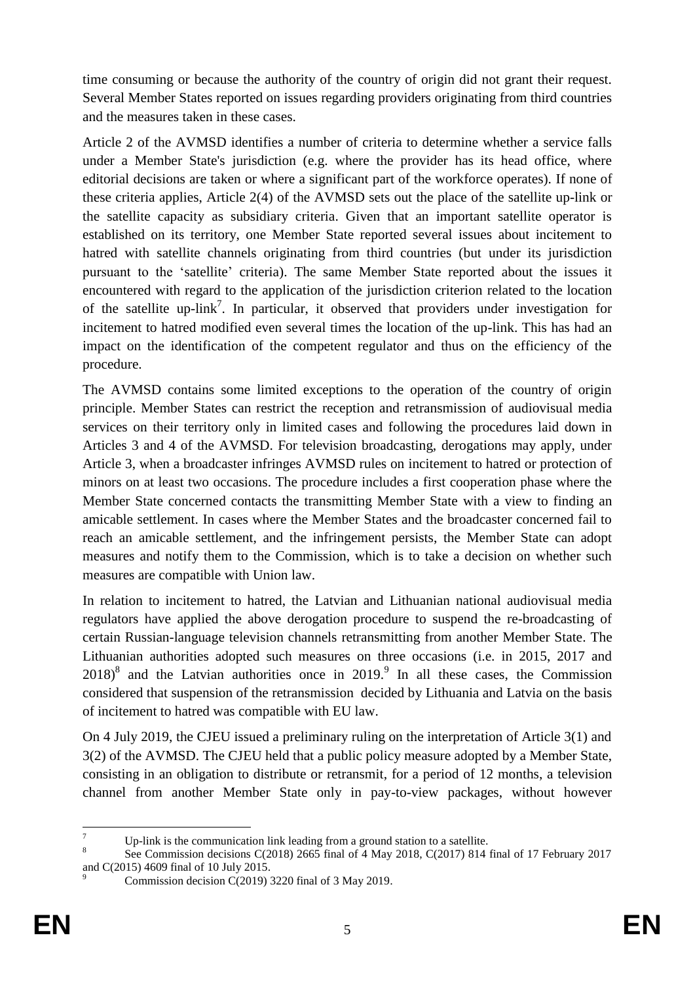time consuming or because the authority of the country of origin did not grant their request. Several Member States reported on issues regarding providers originating from third countries and the measures taken in these cases.

Article 2 of the AVMSD identifies a number of criteria to determine whether a service falls under a Member State's jurisdiction (e.g. where the provider has its head office, where editorial decisions are taken or where a significant part of the workforce operates). If none of these criteria applies, Article 2(4) of the AVMSD sets out the place of the satellite up-link or the satellite capacity as subsidiary criteria. Given that an important satellite operator is established on its territory, one Member State reported several issues about incitement to hatred with satellite channels originating from third countries (but under its jurisdiction pursuant to the 'satellite' criteria). The same Member State reported about the issues it encountered with regard to the application of the jurisdiction criterion related to the location of the satellite up-link<sup>7</sup>. In particular, it observed that providers under investigation for incitement to hatred modified even several times the location of the up-link. This has had an impact on the identification of the competent regulator and thus on the efficiency of the procedure.

The AVMSD contains some limited exceptions to the operation of the country of origin principle. Member States can restrict the reception and retransmission of audiovisual media services on their territory only in limited cases and following the procedures laid down in Articles 3 and 4 of the AVMSD. For television broadcasting, derogations may apply, under Article 3, when a broadcaster infringes AVMSD rules on incitement to hatred or protection of minors on at least two occasions. The procedure includes a first cooperation phase where the Member State concerned contacts the transmitting Member State with a view to finding an amicable settlement. In cases where the Member States and the broadcaster concerned fail to reach an amicable settlement, and the infringement persists, the Member State can adopt measures and notify them to the Commission, which is to take a decision on whether such measures are compatible with Union law.

In relation to incitement to hatred, the Latvian and Lithuanian national audiovisual media regulators have applied the above derogation procedure to suspend the re-broadcasting of certain Russian-language television channels retransmitting from another Member State. The Lithuanian authorities adopted such measures on three occasions (i.e. in 2015, 2017 and  $2018$ <sup>8</sup> and the Latvian authorities once in  $2019$ <sup>9</sup>. In all these cases, the Commission considered that suspension of the retransmission decided by Lithuania and Latvia on the basis of incitement to hatred was compatible with EU law.

On 4 July 2019, the CJEU issued a preliminary ruling on the interpretation of Article 3(1) and 3(2) of the AVMSD. The CJEU held that a public policy measure adopted by a Member State, consisting in an obligation to distribute or retransmit, for a period of 12 months, a television channel from another Member State only in pay-to-view packages, without however

<sup>1</sup> Up-link is the communication link leading from a ground station to a satellite.

<sup>8</sup> See Commission decisions C(2018) 2665 final of 4 May 2018, C(2017) 814 final of 17 February 2017 and C(2015) 4609 final of 10 July 2015.

Commission decision C(2019) 3220 final of 3 May 2019.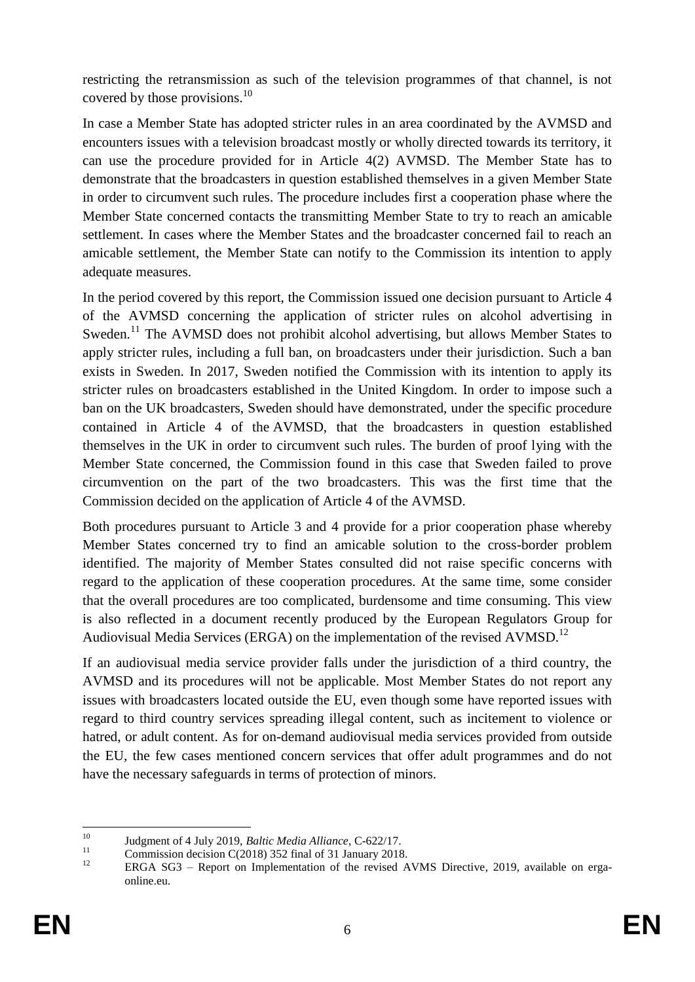restricting the retransmission as such of the television programmes of that channel, is not covered by those provisions.<sup>10</sup>

In case a Member State has adopted stricter rules in an area coordinated by the AVMSD and encounters issues with a television broadcast mostly or wholly directed towards its territory, it can use the procedure provided for in Article 4(2) AVMSD. The Member State has to demonstrate that the broadcasters in question established themselves in a given Member State in order to circumvent such rules. The procedure includes first a cooperation phase where the Member State concerned contacts the transmitting Member State to try to reach an amicable settlement. In cases where the Member States and the broadcaster concerned fail to reach an amicable settlement, the Member State can notify to the Commission its intention to apply adequate measures.

In the period covered by this report, the Commission issued one decision pursuant to Article 4 of the AVMSD concerning the application of stricter rules on alcohol advertising in Sweden.<sup>11</sup> The AVMSD does not prohibit alcohol advertising, but allows Member States to apply stricter rules, including a full ban, on broadcasters under their jurisdiction. Such a ban exists in Sweden. In 2017, Sweden notified the Commission with its intention to apply its stricter rules on broadcasters established in the United Kingdom. In order to impose such a ban on the UK broadcasters, Sweden should have demonstrated, under the specific procedure contained in Article 4 of the AVMSD, that the broadcasters in question established themselves in the UK in order to circumvent such rules. The burden of proof lying with the Member State concerned, the Commission found in this case that Sweden failed to prove circumvention on the part of the two broadcasters. This was the first time that the Commission decided on the application of Article 4 of the AVMSD.

Both procedures pursuant to Article 3 and 4 provide for a prior cooperation phase whereby Member States concerned try to find an amicable solution to the cross-border problem identified. The majority of Member States consulted did not raise specific concerns with regard to the application of these cooperation procedures. At the same time, some consider that the overall procedures are too complicated, burdensome and time consuming. This view is also reflected in a document recently produced by the European Regulators Group for Audiovisual Media Services (ERGA) on the implementation of the revised AVMSD.<sup>12</sup>

If an audiovisual media service provider falls under the jurisdiction of a third country, the AVMSD and its procedures will not be applicable. Most Member States do not report any issues with broadcasters located outside the EU, even though some have reported issues with regard to third country services spreading illegal content, such as incitement to violence or hatred, or adult content. As for on-demand audiovisual media services provided from outside the EU, the few cases mentioned concern services that offer adult programmes and do not have the necessary safeguards in terms of protection of minors.

 $10$ <sup>10</sup> Judgment of 4 July 2019, *Baltic Media Alliance*, C-622/17.

<sup>&</sup>lt;sup>11</sup> Commission decision C(2018) 352 final of 31 January 2018.

ERGA SG3 – Report on Implementation of the revised AVMS Directive, 2019, available on ergaonline.eu.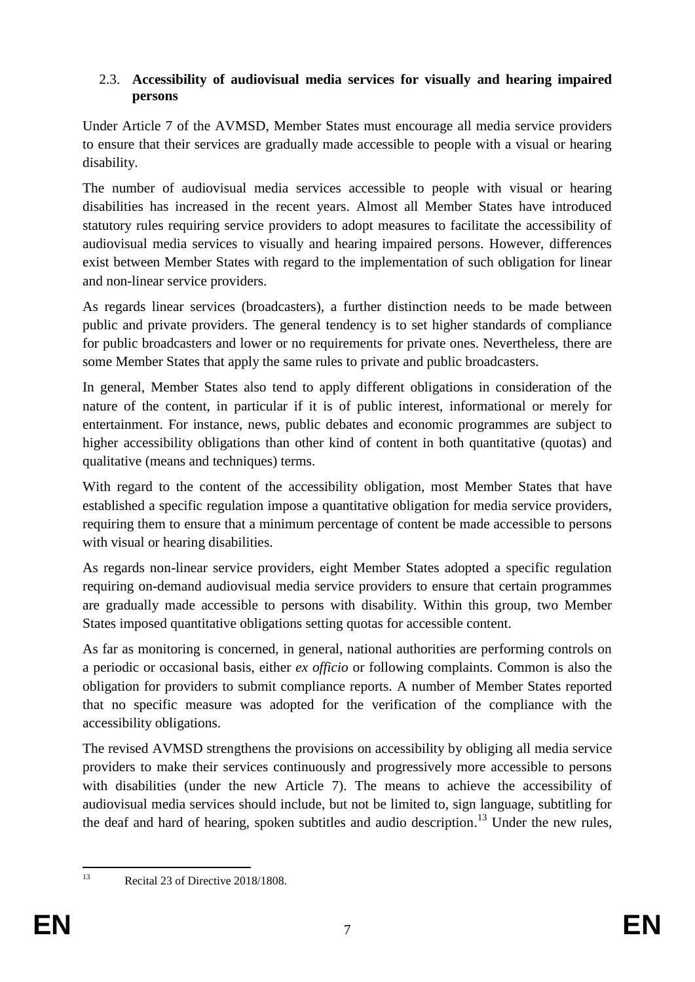#### 2.3. **Accessibility of audiovisual media services for visually and hearing impaired persons**

Under Article 7 of the AVMSD, Member States must encourage all media service providers to ensure that their services are gradually made accessible to people with a visual or hearing disability.

The number of audiovisual media services accessible to people with visual or hearing disabilities has increased in the recent years. Almost all Member States have introduced statutory rules requiring service providers to adopt measures to facilitate the accessibility of audiovisual media services to visually and hearing impaired persons. However, differences exist between Member States with regard to the implementation of such obligation for linear and non-linear service providers.

As regards linear services (broadcasters), a further distinction needs to be made between public and private providers. The general tendency is to set higher standards of compliance for public broadcasters and lower or no requirements for private ones. Nevertheless, there are some Member States that apply the same rules to private and public broadcasters.

In general, Member States also tend to apply different obligations in consideration of the nature of the content, in particular if it is of public interest, informational or merely for entertainment. For instance, news, public debates and economic programmes are subject to higher accessibility obligations than other kind of content in both quantitative (quotas) and qualitative (means and techniques) terms.

With regard to the content of the accessibility obligation, most Member States that have established a specific regulation impose a quantitative obligation for media service providers, requiring them to ensure that a minimum percentage of content be made accessible to persons with visual or hearing disabilities.

As regards non-linear service providers, eight Member States adopted a specific regulation requiring on-demand audiovisual media service providers to ensure that certain programmes are gradually made accessible to persons with disability. Within this group, two Member States imposed quantitative obligations setting quotas for accessible content.

As far as monitoring is concerned, in general, national authorities are performing controls on a periodic or occasional basis, either *ex officio* or following complaints. Common is also the obligation for providers to submit compliance reports. A number of Member States reported that no specific measure was adopted for the verification of the compliance with the accessibility obligations.

The revised AVMSD strengthens the provisions on accessibility by obliging all media service providers to make their services continuously and progressively more accessible to persons with disabilities (under the new Article 7). The means to achieve the accessibility of audiovisual media services should include, but not be limited to, sign language, subtitling for the deaf and hard of hearing, spoken subtitles and audio description.<sup>13</sup> Under the new rules,

 $13$ 

Recital 23 of Directive 2018/1808.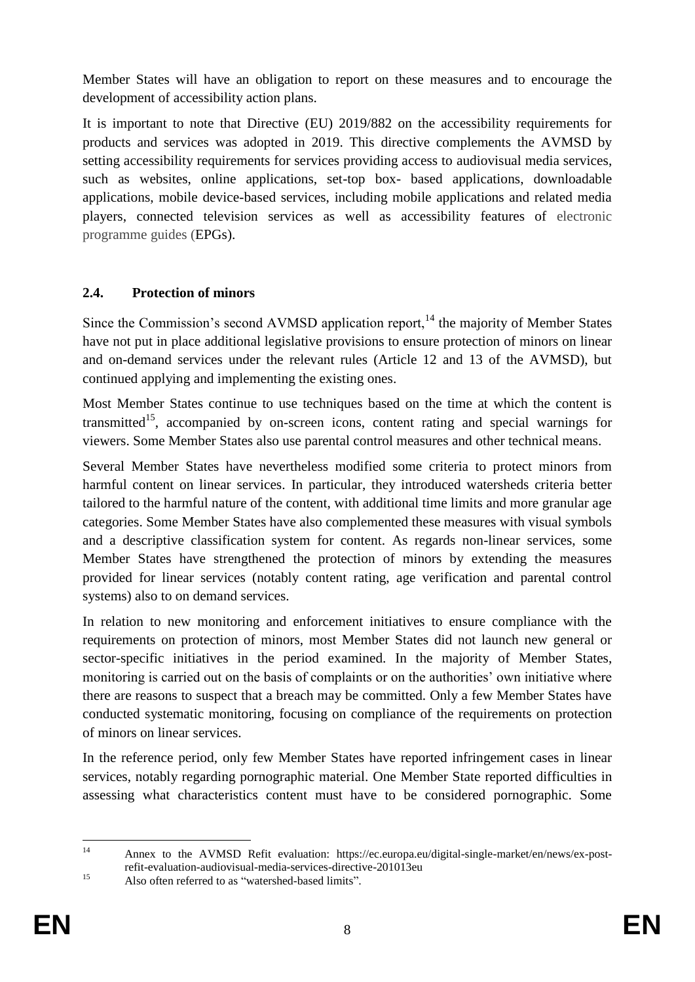Member States will have an obligation to report on these measures and to encourage the development of accessibility action plans.

It is important to note that Directive (EU) 2019/882 on the accessibility requirements for products and services was adopted in 2019. This directive complements the AVMSD by setting accessibility requirements for services providing access to audiovisual media services, such as websites, online applications, set-top box- based applications, downloadable applications, mobile device-based services, including mobile applications and related media players, connected television services as well as accessibility features of electronic programme guides (EPGs).

#### **2.4. Protection of minors**

Since the Commission's second AVMSD application report,  $14$  the majority of Member States have not put in place additional legislative provisions to ensure protection of minors on linear and on-demand services under the relevant rules (Article 12 and 13 of the AVMSD), but continued applying and implementing the existing ones.

Most Member States continue to use techniques based on the time at which the content is transmitted<sup>15</sup>, accompanied by on-screen icons, content rating and special warnings for viewers. Some Member States also use parental control measures and other technical means.

Several Member States have nevertheless modified some criteria to protect minors from harmful content on linear services. In particular, they introduced watersheds criteria better tailored to the harmful nature of the content, with additional time limits and more granular age categories. Some Member States have also complemented these measures with visual symbols and a descriptive classification system for content. As regards non-linear services, some Member States have strengthened the protection of minors by extending the measures provided for linear services (notably content rating, age verification and parental control systems) also to on demand services.

In relation to new monitoring and enforcement initiatives to ensure compliance with the requirements on protection of minors, most Member States did not launch new general or sector-specific initiatives in the period examined. In the majority of Member States, monitoring is carried out on the basis of complaints or on the authorities' own initiative where there are reasons to suspect that a breach may be committed. Only a few Member States have conducted systematic monitoring, focusing on compliance of the requirements on protection of minors on linear services.

In the reference period, only few Member States have reported infringement cases in linear services, notably regarding pornographic material. One Member State reported difficulties in assessing what characteristics content must have to be considered pornographic. Some

 $14$ <sup>14</sup> Annex to the AVMSD Refit evaluation: https://ec.europa.eu/digital-single-market/en/news/ex-postrefit-evaluation-audiovisual-media-services-directive-201013eu

<sup>&</sup>lt;sup>15</sup> Also often referred to as "watershed-based limits".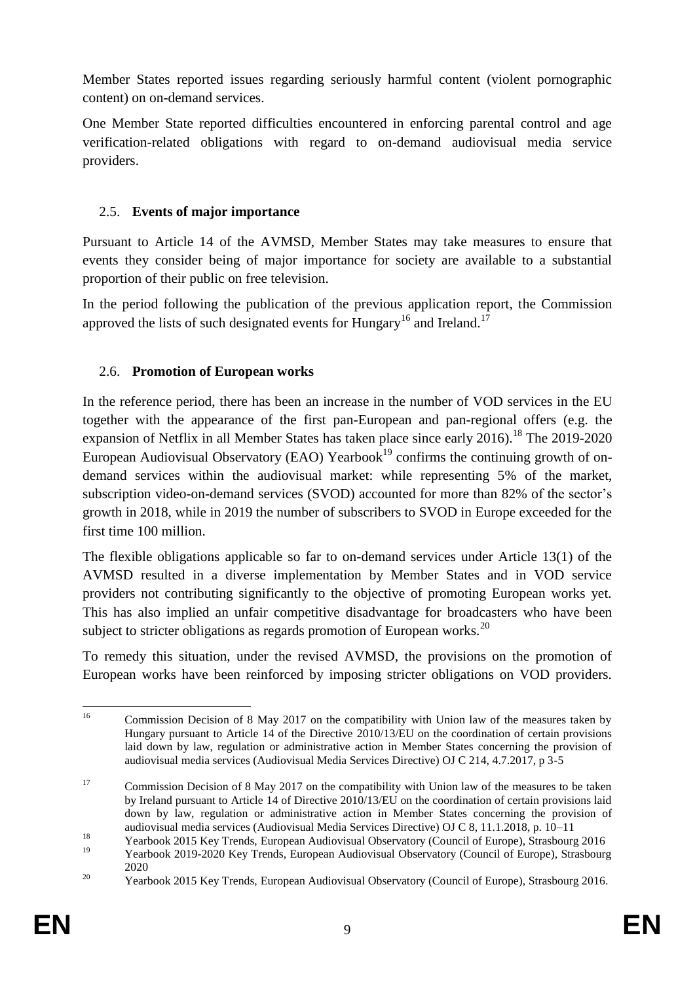Member States reported issues regarding seriously harmful content (violent pornographic content) on on-demand services.

One Member State reported difficulties encountered in enforcing parental control and age verification-related obligations with regard to on-demand audiovisual media service providers.

# 2.5. **Events of major importance**

Pursuant to Article 14 of the AVMSD, Member States may take measures to ensure that events they consider being of major importance for society are available to a substantial proportion of their public on free television.

In the period following the publication of the previous application report, the Commission approved the lists of such designated events for Hungary<sup>16</sup> and Ireland.<sup>17</sup>

# 2.6. **Promotion of European works**

In the reference period, there has been an increase in the number of VOD services in the EU together with the appearance of the first pan-European and pan-regional offers (e.g. the expansion of Netflix in all Member States has taken place since early 2016).<sup>18</sup> The 2019-2020 European Audiovisual Observatory (EAO) Yearbook<sup>19</sup> confirms the continuing growth of ondemand services within the audiovisual market: while representing 5% of the market, subscription video-on-demand services (SVOD) accounted for more than 82% of the sector's growth in 2018, while in 2019 the number of subscribers to SVOD in Europe exceeded for the first time 100 million.

The flexible obligations applicable so far to on-demand services under Article 13(1) of the AVMSD resulted in a diverse implementation by Member States and in VOD service providers not contributing significantly to the objective of promoting European works yet. This has also implied an unfair competitive disadvantage for broadcasters who have been subject to stricter obligations as regards promotion of European works.<sup>20</sup>

To remedy this situation, under the revised AVMSD, the provisions on the promotion of European works have been reinforced by imposing stricter obligations on VOD providers.

<sup>16</sup> <sup>16</sup> Commission Decision of 8 May 2017 on the compatibility with Union law of the measures taken by Hungary pursuant to Article 14 of the Directive 2010/13/EU on the coordination of certain provisions laid down by law, regulation or administrative action in Member States concerning the provision of audiovisual media services (Audiovisual Media Services Directive) OJ C 214, 4.7.2017, p 3-5

<sup>&</sup>lt;sup>17</sup> Commission Decision of 8 May 2017 on the compatibility with Union law of the measures to be taken by Ireland pursuant to Article 14 of Directive 2010/13/EU on the coordination of certain provisions laid down by law, regulation or administrative action in Member States concerning the provision of audiovisual media services (Audiovisual Media Services Directive) OJ C 8, 11.1.2018, p. 10–11

<sup>&</sup>lt;sup>18</sup><br>
Yearbook 2015 Key Trends, European Audiovisual Observatory (Council of Europe), Strasbourg 2016

<sup>19</sup> Yearbook 2019-2020 Key Trends, European Audiovisual Observatory (Council of Europe), Strasbourg 2020

<sup>&</sup>lt;sup>20</sup> Yearbook 2015 Key Trends, European Audiovisual Observatory (Council of Europe), Strasbourg 2016.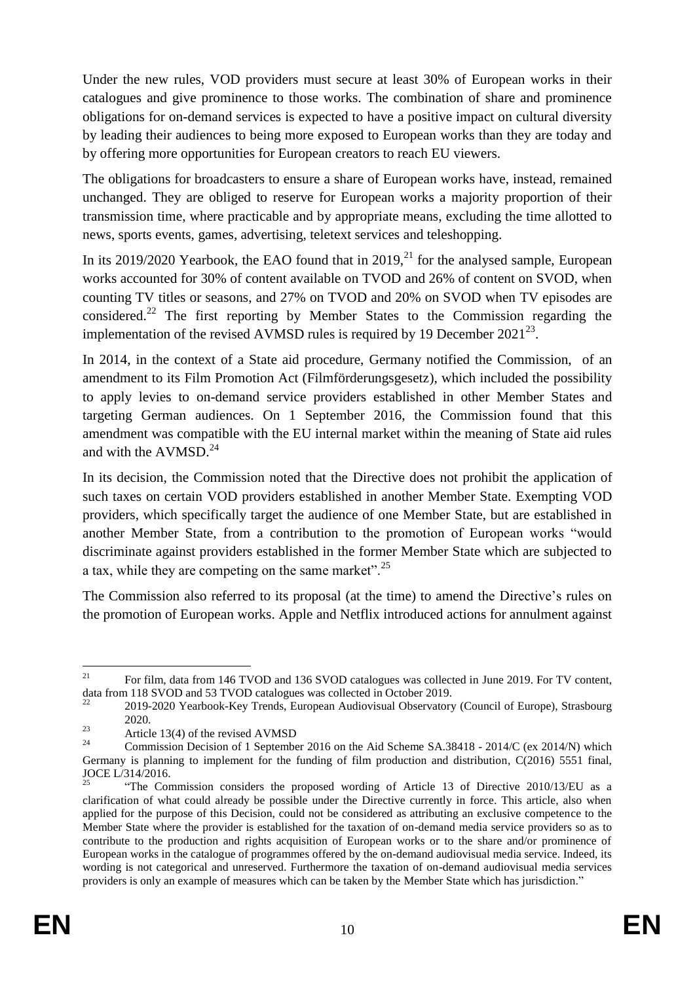Under the new rules, VOD providers must secure at least 30% of European works in their catalogues and give prominence to those works. The combination of share and prominence obligations for on-demand services is expected to have a positive impact on cultural diversity by leading their audiences to being more exposed to European works than they are today and by offering more opportunities for European creators to reach EU viewers.

The obligations for broadcasters to ensure a share of European works have, instead, remained unchanged. They are obliged to reserve for European works a majority proportion of their transmission time, where practicable and by appropriate means, excluding the time allotted to news, sports events, games, advertising, teletext services and teleshopping.

In its 2019/2020 Yearbook, the EAO found that in  $2019<sup>21</sup>$  for the analysed sample, European works accounted for 30% of content available on TVOD and 26% of content on SVOD, when counting TV titles or seasons, and 27% on TVOD and 20% on SVOD when TV episodes are considered.<sup>22</sup> The first reporting by Member States to the Commission regarding the implementation of the revised AVMSD rules is required by 19 December  $2021^{23}$ .

In 2014, in the context of a State aid procedure, Germany notified the Commission, of an amendment to its Film Promotion Act (Filmförderungsgesetz), which included the possibility to apply levies to on-demand service providers established in other Member States and targeting German audiences. On 1 September 2016, the Commission found that this amendment was compatible with the EU internal market within the meaning of State aid rules and with the AVMSD.<sup>24</sup>

In its decision, the Commission noted that the Directive does not prohibit the application of such taxes on certain VOD providers established in another Member State. Exempting VOD providers, which specifically target the audience of one Member State, but are established in another Member State, from a contribution to the promotion of European works "would discriminate against providers established in the former Member State which are subjected to a tax, while they are competing on the same market".<sup>25</sup>

The Commission also referred to its proposal (at the time) to amend the Directive's rules on the promotion of European works. Apple and Netflix introduced actions for annulment against

<sup>21</sup> <sup>21</sup> For film, data from 146 TVOD and 136 SVOD catalogues was collected in June 2019. For TV content, data from 118 SVOD and 53 TVOD catalogues was collected in October 2019.

<sup>22</sup> 2019-2020 Yearbook-Key Trends, European Audiovisual Observatory (Council of Europe), Strasbourg 2020.

 $23 \text{ Article } 13(4)$  of the revised AVMSD

<sup>24</sup> Commission Decision of 1 September 2016 on the Aid Scheme SA.38418 - 2014/C (ex 2014/N) which Germany is planning to implement for the funding of film production and distribution, C(2016) 5551 final, JOCE L/314/2016.

<sup>25</sup> "The Commission considers the proposed wording of Article 13 of Directive 2010/13/EU as a clarification of what could already be possible under the Directive currently in force. This article, also when applied for the purpose of this Decision, could not be considered as attributing an exclusive competence to the Member State where the provider is established for the taxation of on-demand media service providers so as to contribute to the production and rights acquisition of European works or to the share and/or prominence of European works in the catalogue of programmes offered by the on-demand audiovisual media service. Indeed, its wording is not categorical and unreserved. Furthermore the taxation of on-demand audiovisual media services providers is only an example of measures which can be taken by the Member State which has jurisdiction."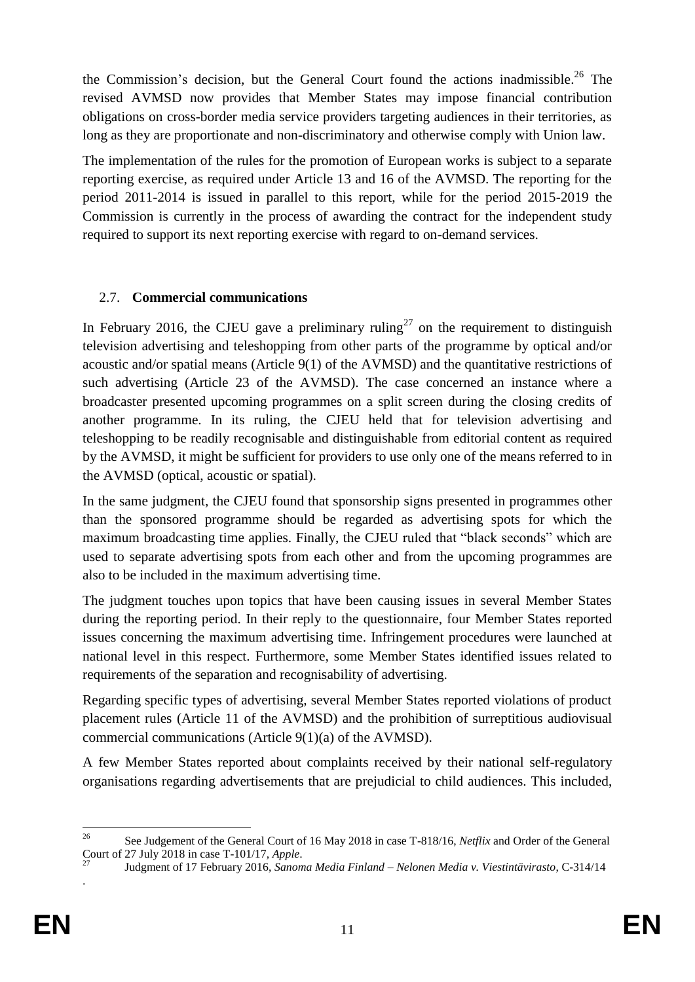the Commission's decision, but the General Court found the actions inadmissible. <sup>26</sup> The revised AVMSD now provides that Member States may impose financial contribution obligations on cross-border media service providers targeting audiences in their territories, as long as they are proportionate and non-discriminatory and otherwise comply with Union law.

The implementation of the rules for the promotion of European works is subject to a separate reporting exercise, as required under Article 13 and 16 of the AVMSD. The reporting for the period 2011-2014 is issued in parallel to this report, while for the period 2015-2019 the Commission is currently in the process of awarding the contract for the independent study required to support its next reporting exercise with regard to on-demand services.

# 2.7. **Commercial communications**

In February 2016, the CJEU gave a preliminary ruling<sup>27</sup> on the requirement to distinguish television advertising and teleshopping from other parts of the programme by optical and/or acoustic and/or spatial means (Article 9(1) of the AVMSD) and the quantitative restrictions of such advertising (Article 23 of the AVMSD). The case concerned an instance where a broadcaster presented upcoming programmes on a split screen during the closing credits of another programme. In its ruling, the CJEU held that for television advertising and teleshopping to be readily recognisable and distinguishable from editorial content as required by the AVMSD, it might be sufficient for providers to use only one of the means referred to in the AVMSD (optical, acoustic or spatial).

In the same judgment, the CJEU found that sponsorship signs presented in programmes other than the sponsored programme should be regarded as advertising spots for which the maximum broadcasting time applies. Finally, the CJEU ruled that "black seconds" which are used to separate advertising spots from each other and from the upcoming programmes are also to be included in the maximum advertising time.

The judgment touches upon topics that have been causing issues in several Member States during the reporting period. In their reply to the questionnaire, four Member States reported issues concerning the maximum advertising time. Infringement procedures were launched at national level in this respect. Furthermore, some Member States identified issues related to requirements of the separation and recognisability of advertising.

Regarding specific types of advertising, several Member States reported violations of product placement rules (Article 11 of the AVMSD) and the prohibition of surreptitious audiovisual commercial communications (Article 9(1)(a) of the AVMSD).

A few Member States reported about complaints received by their national self-regulatory organisations regarding advertisements that are prejudicial to child audiences. This included,

.

<sup>26</sup> <sup>26</sup> See Judgement of the General Court of 16 May 2018 in case T-818/16, *Netflix* and Order of the General Court of 27 July 2018 in case T-101/17, *Apple*.

<sup>27</sup> Judgment of 17 February 2016, *Sanoma Media Finland – Nelonen Media v. Viestintävirasto*, C-314/14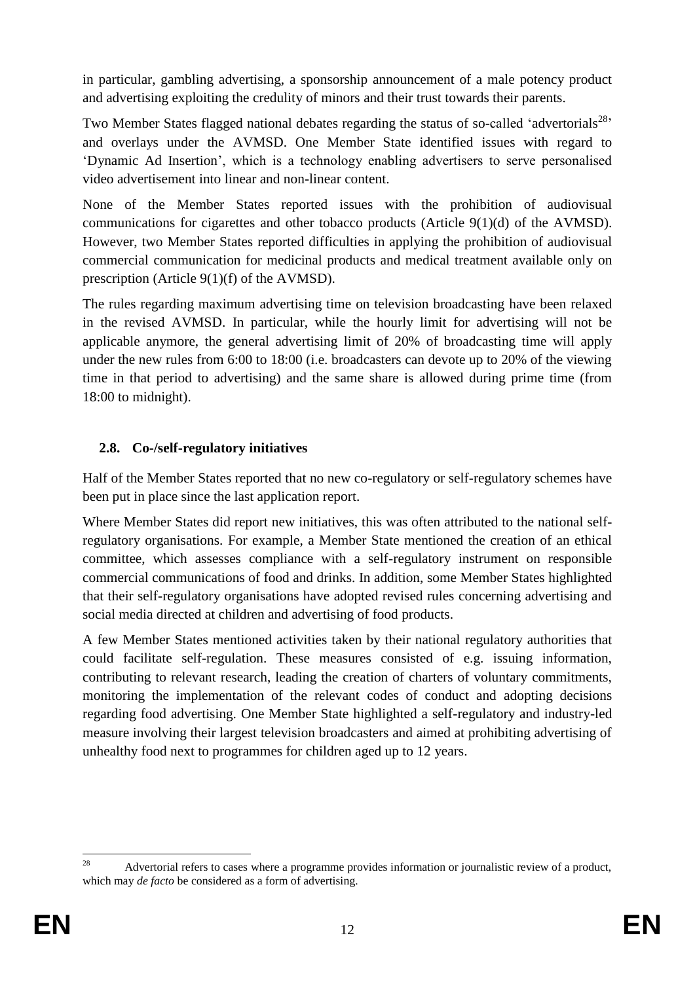in particular, gambling advertising, a sponsorship announcement of a male potency product and advertising exploiting the credulity of minors and their trust towards their parents.

Two Member States flagged national debates regarding the status of so-called 'advertorials<sup>28</sup>' and overlays under the AVMSD. One Member State identified issues with regard to 'Dynamic Ad Insertion', which is a technology enabling advertisers to serve personalised video advertisement into linear and non-linear content.

None of the Member States reported issues with the prohibition of audiovisual communications for cigarettes and other tobacco products (Article 9(1)(d) of the AVMSD). However, two Member States reported difficulties in applying the prohibition of audiovisual commercial communication for medicinal products and medical treatment available only on prescription (Article 9(1)(f) of the AVMSD).

The rules regarding maximum advertising time on television broadcasting have been relaxed in the revised AVMSD. In particular, while the hourly limit for advertising will not be applicable anymore, the general advertising limit of 20% of broadcasting time will apply under the new rules from 6:00 to 18:00 (i.e. broadcasters can devote up to 20% of the viewing time in that period to advertising) and the same share is allowed during prime time (from 18:00 to midnight).

# **2.8. Co-/self-regulatory initiatives**

Half of the Member States reported that no new co-regulatory or self-regulatory schemes have been put in place since the last application report.

Where Member States did report new initiatives, this was often attributed to the national selfregulatory organisations. For example, a Member State mentioned the creation of an ethical committee, which assesses compliance with a self-regulatory instrument on responsible commercial communications of food and drinks. In addition, some Member States highlighted that their self-regulatory organisations have adopted revised rules concerning advertising and social media directed at children and advertising of food products.

A few Member States mentioned activities taken by their national regulatory authorities that could facilitate self-regulation. These measures consisted of e.g. issuing information, contributing to relevant research, leading the creation of charters of voluntary commitments, monitoring the implementation of the relevant codes of conduct and adopting decisions regarding food advertising. One Member State highlighted a self-regulatory and industry-led measure involving their largest television broadcasters and aimed at prohibiting advertising of unhealthy food next to programmes for children aged up to 12 years.

<sup>28</sup> <sup>28</sup> Advertorial refers to cases where a programme provides information or journalistic review of a product, which may *de facto* be considered as a form of advertising.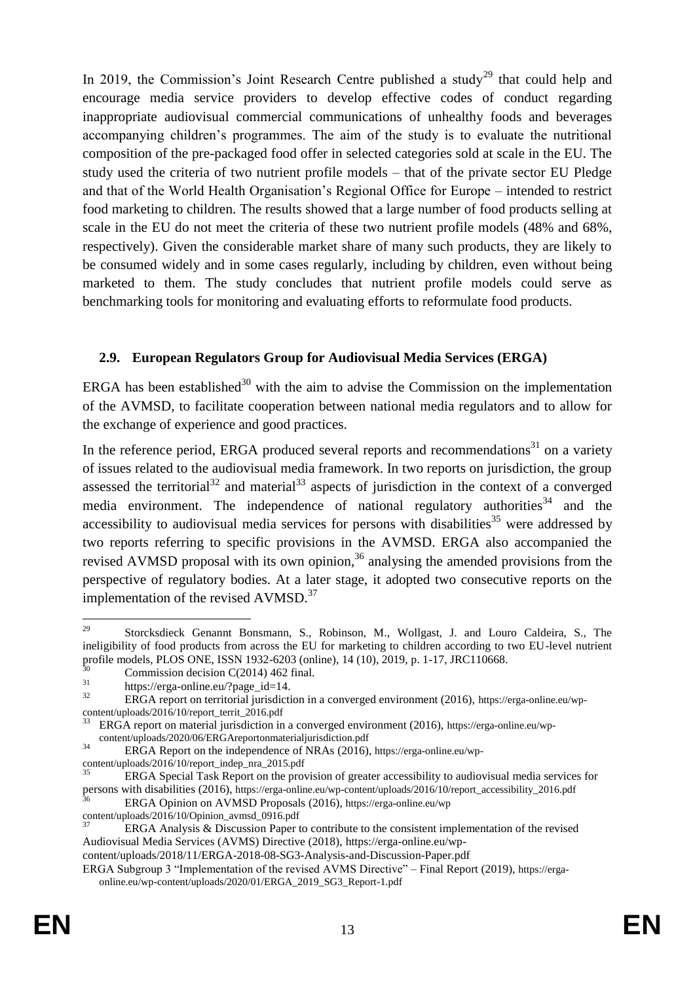In 2019, the Commission's Joint Research Centre published a study<sup>29</sup> that could help and encourage media service providers to develop effective codes of conduct regarding inappropriate audiovisual commercial communications of unhealthy foods and beverages accompanying children's programmes. The aim of the study is to evaluate the nutritional composition of the pre-packaged food offer in selected categories sold at scale in the EU. The study used the criteria of two nutrient profile models – that of the private sector EU Pledge and that of the World Health Organisation's Regional Office for Europe – intended to restrict food marketing to children. The results showed that a large number of food products selling at scale in the EU do not meet the criteria of these two nutrient profile models (48% and 68%, respectively). Given the considerable market share of many such products, they are likely to be consumed widely and in some cases regularly, including by children, even without being marketed to them. The study concludes that nutrient profile models could serve as benchmarking tools for monitoring and evaluating efforts to reformulate food products.

#### **2.9. European Regulators Group for Audiovisual Media Services (ERGA)**

ERGA has been established $30$  with the aim to advise the Commission on the implementation of the AVMSD, to facilitate cooperation between national media regulators and to allow for the exchange of experience and good practices.

In the reference period, ERGA produced several reports and recommendations $31$  on a variety of issues related to the audiovisual media framework. In two reports on jurisdiction, the group assessed the territorial<sup>32</sup> and material<sup>33</sup> aspects of jurisdiction in the context of a converged media environment. The independence of national regulatory authorities<sup>34</sup> and the accessibility to audiovisual media services for persons with disabilities<sup>35</sup> were addressed by two reports referring to specific provisions in the AVMSD. ERGA also accompanied the revised AVMSD proposal with its own opinion,<sup>36</sup> analysing the amended provisions from the perspective of regulatory bodies. At a later stage, it adopted two consecutive reports on the implementation of the revised AVMSD.<sup>37</sup>

<sup>&</sup>lt;u>.</u> <sup>29</sup> Storcksdieck Genannt Bonsmann, S., Robinson, M., Wollgast, J. and Louro Caldeira, S., The ineligibility of food products from across the EU for marketing to children according to two EU-level nutrient profile models, PLOS ONE, ISSN 1932-6203 (online), 14 (10), 2019, p. 1-17, JRC110668.

 $^{30}$  Commission decision C(2014) 462 final.

 $\frac{31}{32}$  https://erga-online.eu/?page\_id=14.<br>EPGA report on territorial invisibility

ERGA report on territorial jurisdiction in a converged environment (2016), https://erga-online.eu/wpcontent/uploads/2016/10/report\_territ\_2016.pdf

ERGA report on material jurisdiction in a converged environment (2016), https://erga-online.eu/wpcontent/uploads/2020/06/ERGAreportonmaterialjurisdiction.pdf

<sup>&</sup>lt;sup>34</sup> ERGA Report on the independence of NRAs (2016), https://erga-online.eu/wpcontent/uploads/2016/10/report\_indep\_nra\_2015.pdf

ERGA Special Task Report on the provision of greater accessibility to audiovisual media services for persons with disabilities (2016), https://erga-online.eu/wp-content/uploads/2016/10/report\_accessibility\_2016.pdf

<sup>36</sup> ERGA Opinion on AVMSD Proposals (2016), https://erga-online.eu/wp

content/uploads/2016/10/Opinion\_avmsd\_0916.pdf

ERGA Analysis & Discussion Paper to contribute to the consistent implementation of the revised Audiovisual Media Services (AVMS) Directive (2018), https://erga-online.eu/wp-

content/uploads/2018/11/ERGA-2018-08-SG3-Analysis-and-Discussion-Paper.pdf

ERGA Subgroup 3 "Implementation of the revised AVMS Directive" – Final Report (2019), https://ergaonline.eu/wp-content/uploads/2020/01/ERGA\_2019\_SG3\_Report-1.pdf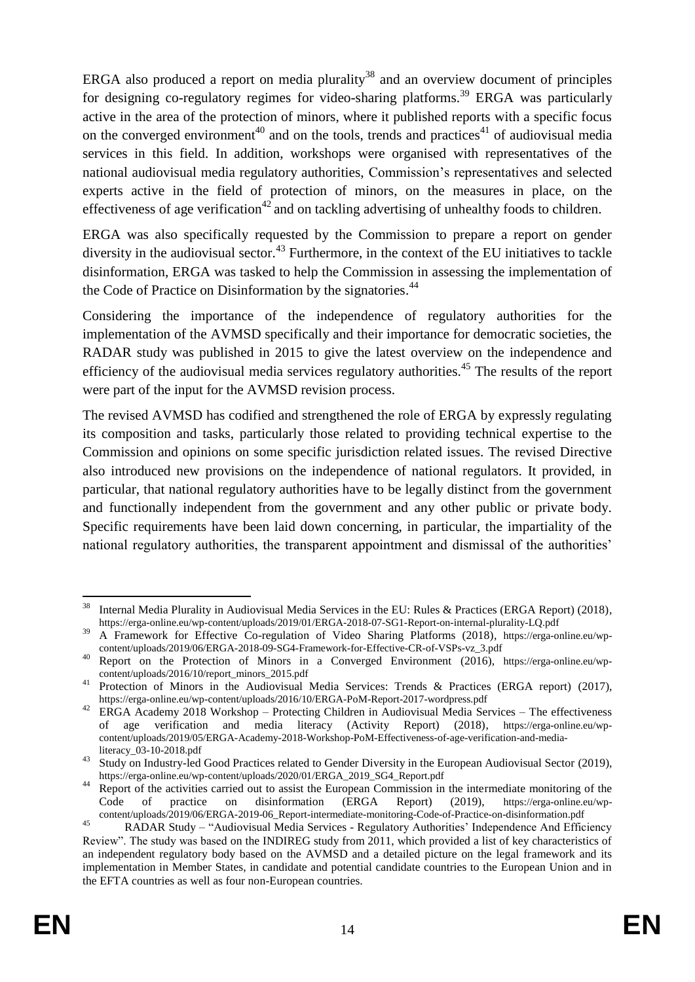ERGA also produced a report on media plurality<sup>38</sup> and an overview document of principles for designing co-regulatory regimes for video-sharing platforms.<sup>39</sup> ERGA was particularly active in the area of the protection of minors, where it published reports with a specific focus on the converged environment<sup>40</sup> and on the tools, trends and practices<sup>41</sup> of audiovisual media services in this field. In addition, workshops were organised with representatives of the national audiovisual media regulatory authorities, Commission's representatives and selected experts active in the field of protection of minors, on the measures in place, on the effectiveness of age verification<sup>42</sup> and on tackling advertising of unhealthy foods to children.

ERGA was also specifically requested by the Commission to prepare a report on gender diversity in the audiovisual sector.<sup>43</sup> Furthermore, in the context of the EU initiatives to tackle disinformation, ERGA was tasked to help the Commission in assessing the implementation of the Code of Practice on Disinformation by the signatories.<sup>44</sup>

Considering the importance of the independence of regulatory authorities for the implementation of the AVMSD specifically and their importance for democratic societies, the RADAR study was published in 2015 to give the latest overview on the independence and efficiency of the audiovisual media services regulatory authorities.<sup>45</sup> The results of the report were part of the input for the AVMSD revision process.

The revised AVMSD has codified and strengthened the role of ERGA by expressly regulating its composition and tasks, particularly those related to providing technical expertise to the Commission and opinions on some specific jurisdiction related issues. The revised Directive also introduced new provisions on the independence of national regulators. It provided, in particular, that national regulatory authorities have to be legally distinct from the government and functionally independent from the government and any other public or private body. Specific requirements have been laid down concerning, in particular, the impartiality of the national regulatory authorities, the transparent appointment and dismissal of the authorities'

<sup>38</sup> <sup>38</sup> Internal Media Plurality in Audiovisual Media Services in the EU: Rules & Practices (ERGA Report) (2018), https://erga-online.eu/wp-content/uploads/2019/01/ERGA-2018-07-SG1-Report-on-internal-plurality-LQ.pdf

<sup>39</sup> A Framework for Effective Co-regulation of Video Sharing Platforms (2018), https://erga-online.eu/wpcontent/uploads/2019/06/ERGA-2018-09-SG4-Framework-for-Effective-CR-of-VSPs-vz\_3.pdf

<sup>40</sup> Report on the Protection of Minors in a Converged Environment (2016), https://erga-online.eu/wpcontent/uploads/2016/10/report\_minors\_2015.pdf

<sup>&</sup>lt;sup>41</sup> Protection of Minors in the Audiovisual Media Services: Trends & Practices (ERGA report) (2017), https://erga-online.eu/wp-content/uploads/2016/10/ERGA-PoM-Report-2017-wordpress.pdf

<sup>&</sup>lt;sup>42</sup> ERGA Academy 2018 Workshop – Protecting Children in Audiovisual Media Services – The effectiveness of age verification and media literacy (Activity Report) (2018), https://erga-online.eu/wpcontent/uploads/2019/05/ERGA-Academy-2018-Workshop-PoM-Effectiveness-of-age-verification-and-medialiteracy\_03-10-2018.pdf

<sup>&</sup>lt;sup>43</sup> Study on Industry-led Good Practices related to Gender Diversity in the European Audiovisual Sector (2019), https://erga-online.eu/wp-content/uploads/2020/01/ERGA\_2019\_SG4\_Report.pdf

<sup>&</sup>lt;sup>44</sup> Report of the activities carried out to assist the European Commission in the intermediate monitoring of the Code of practice on disinformation (ERGA Report) (2019), https://erga-online.eu/wpcontent/uploads/2019/06/ERGA-2019-06\_Report-intermediate-monitoring-Code-of-Practice-on-disinformation.pdf

<sup>45</sup> RADAR Study – "Audiovisual Media Services - Regulatory Authorities' Independence And Efficiency Review". The study was based on the INDIREG study from 2011, which provided a list of key characteristics of an independent regulatory body based on the AVMSD and a detailed picture on the legal framework and its implementation in Member States, in candidate and potential candidate countries to the European Union and in the EFTA countries as well as four non-European countries.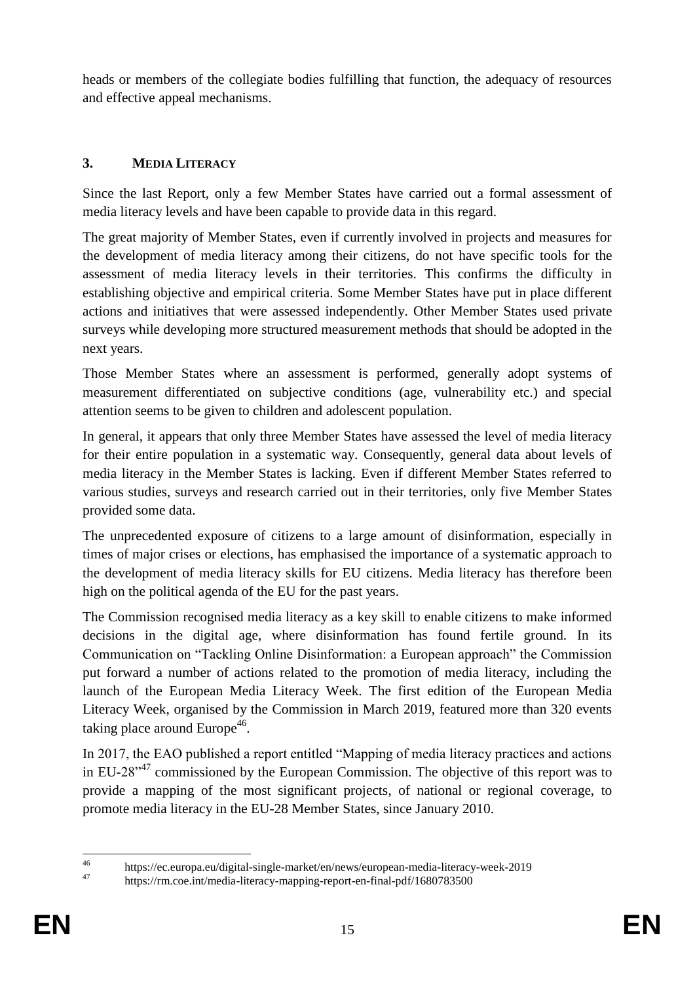heads or members of the collegiate bodies fulfilling that function, the adequacy of resources and effective appeal mechanisms.

# **3. MEDIA LITERACY**

Since the last Report, only a few Member States have carried out a formal assessment of media literacy levels and have been capable to provide data in this regard.

The great majority of Member States, even if currently involved in projects and measures for the development of media literacy among their citizens, do not have specific tools for the assessment of media literacy levels in their territories. This confirms the difficulty in establishing objective and empirical criteria. Some Member States have put in place different actions and initiatives that were assessed independently. Other Member States used private surveys while developing more structured measurement methods that should be adopted in the next years.

Those Member States where an assessment is performed, generally adopt systems of measurement differentiated on subjective conditions (age, vulnerability etc.) and special attention seems to be given to children and adolescent population.

In general, it appears that only three Member States have assessed the level of media literacy for their entire population in a systematic way. Consequently, general data about levels of media literacy in the Member States is lacking. Even if different Member States referred to various studies, surveys and research carried out in their territories, only five Member States provided some data.

The unprecedented exposure of citizens to a large amount of disinformation, especially in times of major crises or elections, has emphasised the importance of a systematic approach to the development of media literacy skills for EU citizens. Media literacy has therefore been high on the political agenda of the EU for the past years.

The Commission recognised media literacy as a key skill to enable citizens to make informed decisions in the digital age, where disinformation has found fertile ground. In its Communication on "Tackling Online Disinformation: a European approach" the Commission put forward a number of actions related to the promotion of media literacy, including the launch of the European Media Literacy Week. The first edition of the European Media Literacy Week, organised by the Commission in March 2019, featured more than 320 events taking place around Europe<sup>46</sup>.

In 2017, the EAO published a report entitled "Mapping of media literacy practices and actions in EU-28<sup>"47</sup> commissioned by the European Commission. The objective of this report was to provide a mapping of the most significant projects, of national or regional coverage, to promote media literacy in the EU-28 Member States, since January 2010.

 $\overline{AB}$ <sup>46</sup> https://ec.europa.eu/digital-single-market/en/news/european-media-literacy-week-2019

https://rm.coe.int/media-literacy-mapping-report-en-final-pdf/1680783500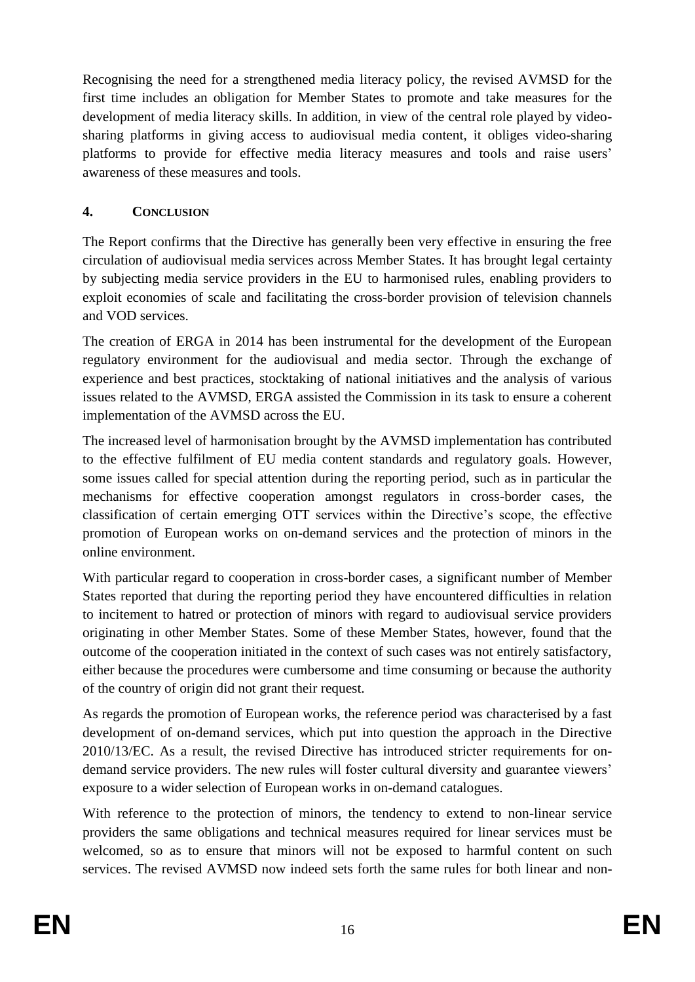Recognising the need for a strengthened media literacy policy, the revised AVMSD for the first time includes an obligation for Member States to promote and take measures for the development of media literacy skills. In addition, in view of the central role played by videosharing platforms in giving access to audiovisual media content, it obliges video-sharing platforms to provide for effective media literacy measures and tools and raise users' awareness of these measures and tools.

#### **4. CONCLUSION**

The Report confirms that the Directive has generally been very effective in ensuring the free circulation of audiovisual media services across Member States. It has brought legal certainty by subjecting media service providers in the EU to harmonised rules, enabling providers to exploit economies of scale and facilitating the cross-border provision of television channels and VOD services.

The creation of ERGA in 2014 has been instrumental for the development of the European regulatory environment for the audiovisual and media sector. Through the exchange of experience and best practices, stocktaking of national initiatives and the analysis of various issues related to the AVMSD, ERGA assisted the Commission in its task to ensure a coherent implementation of the AVMSD across the EU.

The increased level of harmonisation brought by the AVMSD implementation has contributed to the effective fulfilment of EU media content standards and regulatory goals. However, some issues called for special attention during the reporting period, such as in particular the mechanisms for effective cooperation amongst regulators in cross-border cases, the classification of certain emerging OTT services within the Directive's scope, the effective promotion of European works on on-demand services and the protection of minors in the online environment.

With particular regard to cooperation in cross-border cases, a significant number of Member States reported that during the reporting period they have encountered difficulties in relation to incitement to hatred or protection of minors with regard to audiovisual service providers originating in other Member States. Some of these Member States, however, found that the outcome of the cooperation initiated in the context of such cases was not entirely satisfactory, either because the procedures were cumbersome and time consuming or because the authority of the country of origin did not grant their request.

As regards the promotion of European works, the reference period was characterised by a fast development of on-demand services, which put into question the approach in the Directive 2010/13/EC. As a result, the revised Directive has introduced stricter requirements for ondemand service providers. The new rules will foster cultural diversity and guarantee viewers' exposure to a wider selection of European works in on-demand catalogues.

With reference to the protection of minors, the tendency to extend to non-linear service providers the same obligations and technical measures required for linear services must be welcomed, so as to ensure that minors will not be exposed to harmful content on such services. The revised AVMSD now indeed sets forth the same rules for both linear and non